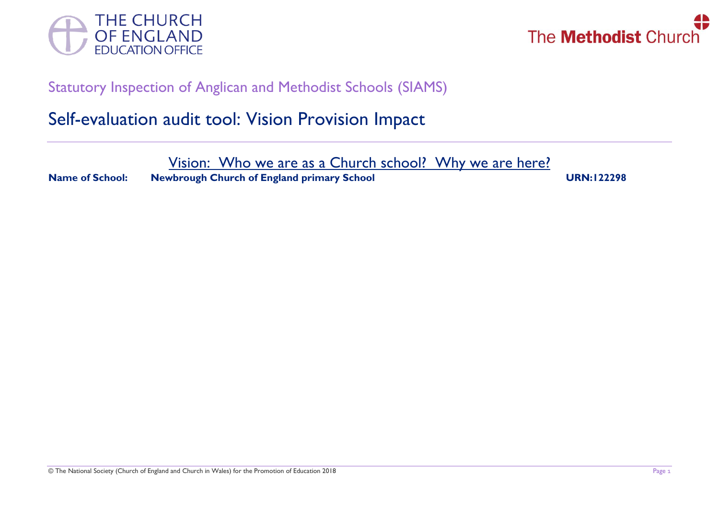



## Statutory Inspection of Anglican and Methodist Schools (SIAMS)

## Self-evaluation audit tool: Vision Provision Impact

Vision: Who we are as a Church school? Why we are here?

**Name of School:** Newbrough Church of England primary School URN:122298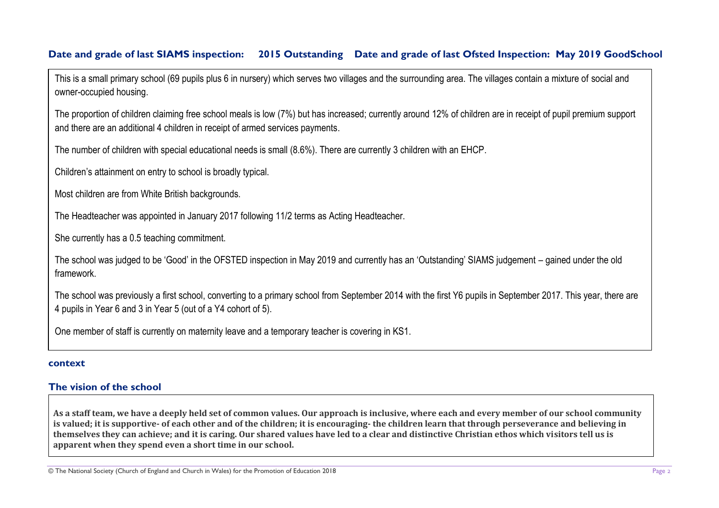## **Date and grade of last SIAMS inspection: 2015 Outstanding Date and grade of last Ofsted Inspection: May 2019 GoodSchool**

This is a small primary school (69 pupils plus 6 in nursery) which serves two villages and the surrounding area. The villages contain a mixture of social and owner-occupied housing.

The proportion of children claiming free school meals is low (7%) but has increased; currently around 12% of children are in receipt of pupil premium support and there are an additional 4 children in receipt of armed services payments.

The number of children with special educational needs is small (8.6%). There are currently 3 children with an EHCP.

Children's attainment on entry to school is broadly typical.

Most children are from White British backgrounds.

The Headteacher was appointed in January 2017 following 11/2 terms as Acting Headteacher.

She currently has a 0.5 teaching commitment.

The school was judged to be 'Good' in the OFSTED inspection in May 2019 and currently has an 'Outstanding' SIAMS judgement – gained under the old framework.

The school was previously a first school, converting to a primary school from September 2014 with the first Y6 pupils in September 2017. This year, there are 4 pupils in Year 6 and 3 in Year 5 (out of a Y4 cohort of 5).

One member of staff is currently on maternity leave and a temporary teacher is covering in KS1.

#### **context**

## **The vision of the school**

**As a staff team, we have a deeply held set of common values. Our approach is inclusive, where each and every member of our school community is valued; it is supportive- of each other and of the children; it is encouraging- the children learn that through perseverance and believing in themselves they can achieve; and it is caring. Our shared values have led to a clear and distinctive Christian ethos which visitors tell us is apparent when they spend even a short time in our school.**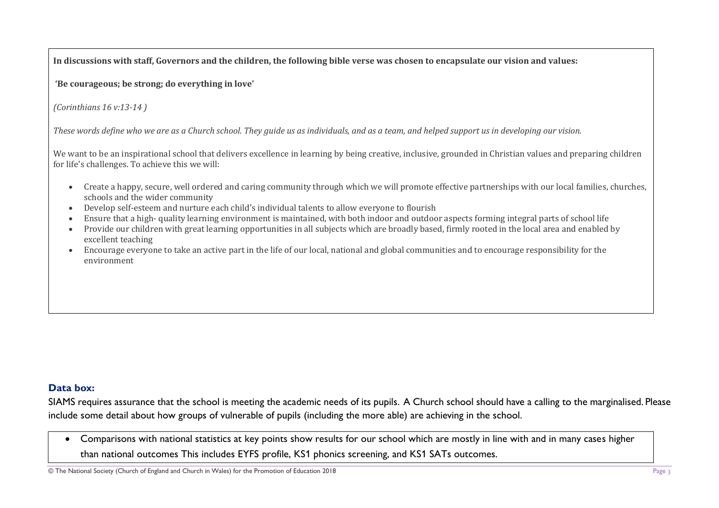**In discussions with staff, Governors and the children, the following bible verse was chosen to encapsulate our vision and values:**

**'Be courageous; be strong; do everything in love'**

*(Corinthians 16 v:13-14 )*

*These words define who we are as a Church school. They guide us as individuals, and as a team, and helped support us in developing our vision.*

We want to be an inspirational school that delivers excellence in learning by being creative, inclusive, grounded in Christian values and preparing children for life's challenges. To achieve this we will:

- Create a happy, secure, well ordered and caring community through which we will promote effective partnerships with our local families, churches, schools and the wider community
- Develop self-esteem and nurture each child's individual talents to allow everyone to flourish
- Ensure that a high- quality learning environment is maintained, with both indoor and outdoor aspects forming integral parts of school life
- Provide our children with great learning opportunities in all subjects which are broadly based, firmly rooted in the local area and enabled by excellent teaching
- Encourage everyone to take an active part in the life of our local, national and global communities and to encourage responsibility for the environment

## **Data box:**

SIAMS requires assurance that the school is meeting the academic needs of its pupils. A Church school should have a calling to the marginalised. Please include some detail about how groups of vulnerable of pupils (including the more able) are achieving in the school.

• Comparisons with national statistics at key points show results for our school which are mostly in line with and in many cases higher than national outcomes This includes EYFS profile, KS1 phonics screening, and KS1 SATs outcomes.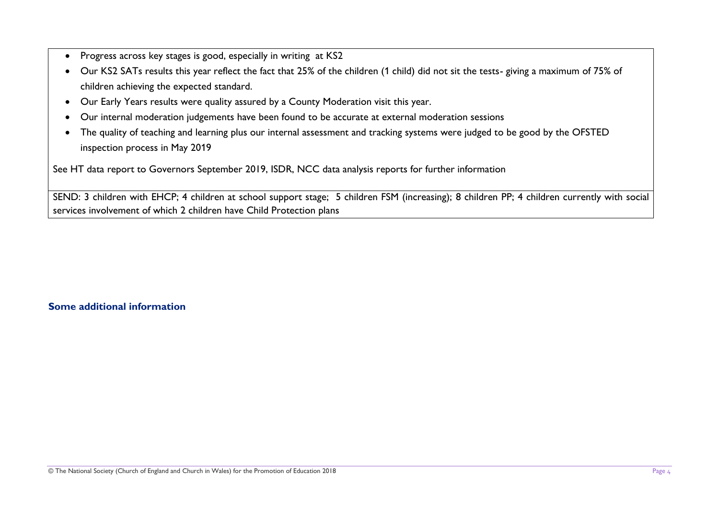- Progress across key stages is good, especially in writing at KS2
- Our KS2 SATs results this year reflect the fact that 25% of the children (1 child) did not sit the tests- giving a maximum of 75% of children achieving the expected standard.
- Our Early Years results were quality assured by a County Moderation visit this year.
- Our internal moderation judgements have been found to be accurate at external moderation sessions
- The quality of teaching and learning plus our internal assessment and tracking systems were judged to be good by the OFSTED inspection process in May 2019

See HT data report to Governors September 2019, ISDR, NCC data analysis reports for further information

SEND: 3 children with EHCP; 4 children at school support stage; 5 children FSM (increasing); 8 children PP; 4 children currently with social services involvement of which 2 children have Child Protection plans

## **Some additional information**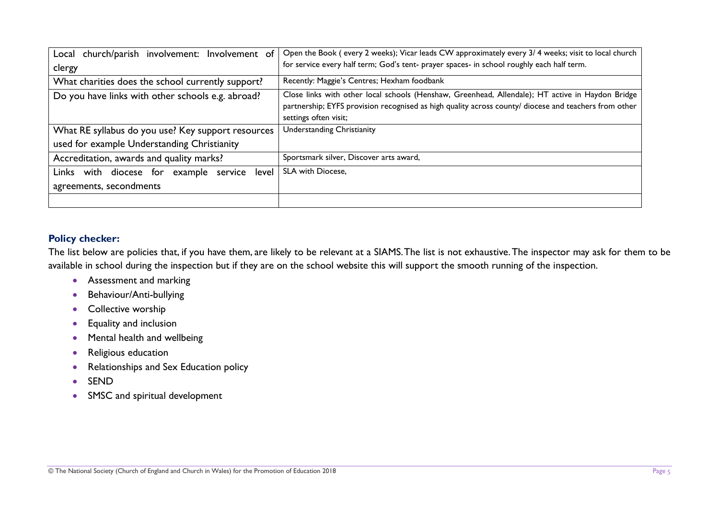| Local church/parish involvement: Involvement of    | Open the Book (every 2 weeks); Vicar leads CW approximately every 3/4 weeks; visit to local church    |
|----------------------------------------------------|-------------------------------------------------------------------------------------------------------|
| clergy                                             | for service every half term; God's tent- prayer spaces- in school roughly each half term.             |
| What charities does the school currently support?  | Recently: Maggie's Centres; Hexham foodbank                                                           |
| Do you have links with other schools e.g. abroad?  | Close links with other local schools (Henshaw, Greenhead, Allendale); HT active in Haydon Bridge      |
|                                                    | partnership; EYFS provision recognised as high quality across county/ diocese and teachers from other |
|                                                    | settings often visit;                                                                                 |
| What RE syllabus do you use? Key support resources | Understanding Christianity                                                                            |
| used for example Understanding Christianity        |                                                                                                       |
| Accreditation, awards and quality marks?           | Sportsmark silver, Discover arts award,                                                               |
| with diocese for<br>example service level<br>Links | <b>SLA with Diocese,</b>                                                                              |
| agreements, secondments                            |                                                                                                       |
|                                                    |                                                                                                       |

## **Policy checker:**

The list below are policies that, if you have them, are likely to be relevant at a SIAMS. The list is not exhaustive. The inspector may ask for them to be available in school during the inspection but if they are on the school website this will support the smooth running of the inspection.

- Assessment and marking
- Behaviour/Anti-bullying
- Collective worship
- Equality and inclusion
- Mental health and wellbeing
- Religious education
- Relationships and Sex Education policy
- SEND
- SMSC and spiritual development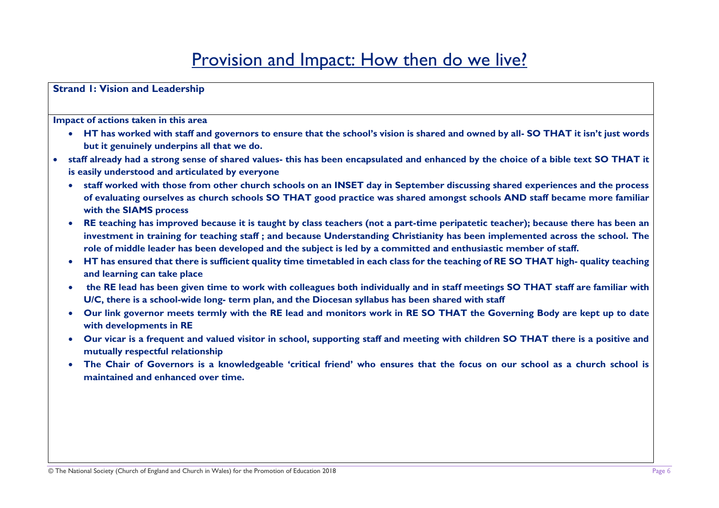# Provision and Impact: How then do we live?

**Strand 1: Vision and Leadership** 

**Impact of actions taken in this area**

- **HT has worked with staff and governors to ensure that the school's vision is shared and owned by all- SO THAT it isn't just words but it genuinely underpins all that we do.**
- **staff already had a strong sense of shared values- this has been encapsulated and enhanced by the choice of a bible text SO THAT it is easily understood and articulated by everyone**
	- **staff worked with those from other church schools on an INSET day in September discussing shared experiences and the process of evaluating ourselves as church schools SO THAT good practice was shared amongst schools AND staff became more familiar with the SIAMS process**
	- **RE teaching has improved because it is taught by class teachers (not a part-time peripatetic teacher); because there has been an investment in training for teaching staff ; and because Understanding Christianity has been implemented across the school. The role of middle leader has been developed and the subject is led by a committed and enthusiastic member of staff.**
	- **HT has ensured that there is sufficient quality time timetabled in each class for the teaching of RE SO THAT high- quality teaching and learning can take place**
	- **the RE lead has been given time to work with colleagues both individually and in staff meetings SO THAT staff are familiar with U/C, there is a school-wide long- term plan, and the Diocesan syllabus has been shared with staff**
	- **Our link governor meets termly with the RE lead and monitors work in RE SO THAT the Governing Body are kept up to date with developments in RE**
	- **Our vicar is a frequent and valued visitor in school, supporting staff and meeting with children SO THAT there is a positive and mutually respectful relationship**
	- **The Chair of Governors is a knowledgeable 'critical friend' who ensures that the focus on our school as a church school is maintained and enhanced over time.**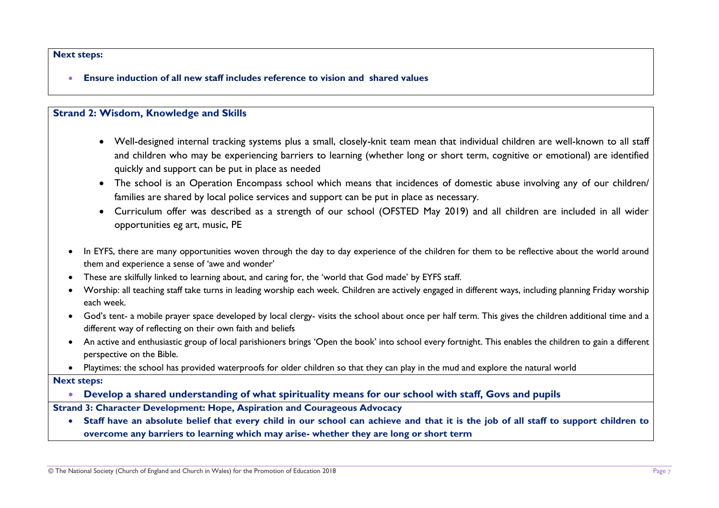#### **Next steps:**

• **Ensure induction of all new staff includes reference to vision and shared values**

#### **Strand 2: Wisdom, Knowledge and Skills**

- Well-designed internal tracking systems plus a small, closely-knit team mean that individual children are well-known to all staff and children who may be experiencing barriers to learning (whether long or short term, cognitive or emotional) are identified quickly and support can be put in place as needed
- The school is an Operation Encompass school which means that incidences of domestic abuse involving any of our children/ families are shared by local police services and support can be put in place as necessary.
- Curriculum offer was described as a strength of our school (OFSTED May 2019) and all children are included in all wider opportunities eg art, music, PE
- In EYFS, there are many opportunities woven through the day to day experience of the children for them to be reflective about the world around them and experience a sense of 'awe and wonder'
- These are skilfully linked to learning about, and caring for, the 'world that God made' by EYFS staff.
- Worship: all teaching staff take turns in leading worship each week. Children are actively engaged in different ways, including planning Friday worship each week.
- God's tent- a mobile prayer space developed by local clergy- visits the school about once per half term. This gives the children additional time and a different way of reflecting on their own faith and beliefs
- An active and enthusiastic group of local parishioners brings 'Open the book' into school every fortnight. This enables the children to gain a different perspective on the Bible.
- Playtimes: the school has provided waterproofs for older children so that they can play in the mud and explore the natural world
- **Next steps:** 
	- **Develop a shared understanding of what spirituality means for our school with staff, Govs and pupils**

## **Strand 3: Character Development: Hope, Aspiration and Courageous Advocacy**

• **Staff have an absolute belief that every child in our school can achieve and that it is the job of all staff to support children to overcome any barriers to learning which may arise- whether they are long or short term**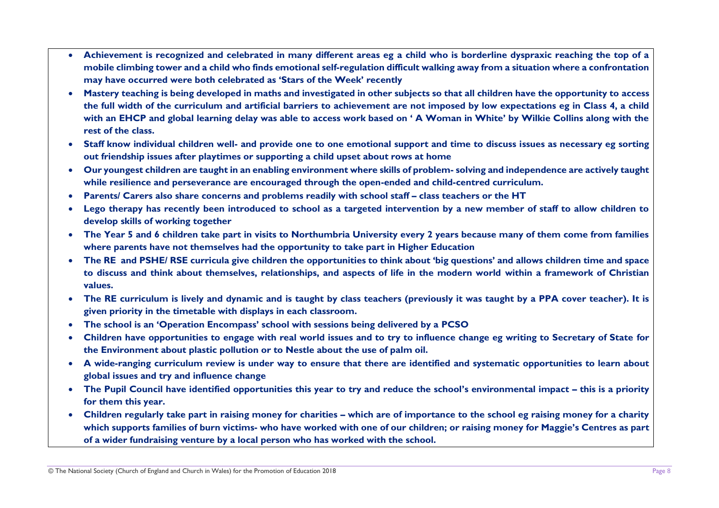- **Achievement is recognized and celebrated in many different areas eg a child who is borderline dyspraxic reaching the top of a mobile climbing tower and a child who finds emotional self-regulation difficult walking away from a situation where a confrontation may have occurred were both celebrated as 'Stars of the Week' recently**
- **Mastery teaching is being developed in maths and investigated in other subjects so that all children have the opportunity to access the full width of the curriculum and artificial barriers to achievement are not imposed by low expectations eg in Class 4, a child with an EHCP and global learning delay was able to access work based on ' A Woman in White' by Wilkie Collins along with the rest of the class.**
- **Staff know individual children well- and provide one to one emotional support and time to discuss issues as necessary eg sorting out friendship issues after playtimes or supporting a child upset about rows at home**
- **Our youngest children are taught in an enabling environment where skills of problem- solving and independence are actively taught while resilience and perseverance are encouraged through the open-ended and child-centred curriculum.**
- **Parents/ Carers also share concerns and problems readily with school staff – class teachers or the HT**
- **Lego therapy has recently been introduced to school as a targeted intervention by a new member of staff to allow children to develop skills of working together**
- **The Year 5 and 6 children take part in visits to Northumbria University every 2 years because many of them come from families where parents have not themselves had the opportunity to take part in Higher Education**
- **The RE and PSHE/ RSE curricula give children the opportunities to think about 'big questions' and allows children time and space to discuss and think about themselves, relationships, and aspects of life in the modern world within a framework of Christian values.**
- **The RE curriculum is lively and dynamic and is taught by class teachers (previously it was taught by a PPA cover teacher). It is given priority in the timetable with displays in each classroom.**
- **The school is an 'Operation Encompass' school with sessions being delivered by a PCSO**
- **Children have opportunities to engage with real world issues and to try to influence change eg writing to Secretary of State for the Environment about plastic pollution or to Nestle about the use of palm oil.**
- **A wide-ranging curriculum review is under way to ensure that there are identified and systematic opportunities to learn about global issues and try and influence change**
- **The Pupil Council have identified opportunities this year to try and reduce the school's environmental impact – this is a priority for them this year.**
- Children regularly take part in raising money for charities which are of importance to the school eg raising money for a charity **which supports families of burn victims- who have worked with one of our children; or raising money for Maggie's Centres as part of a wider fundraising venture by a local person who has worked with the school.**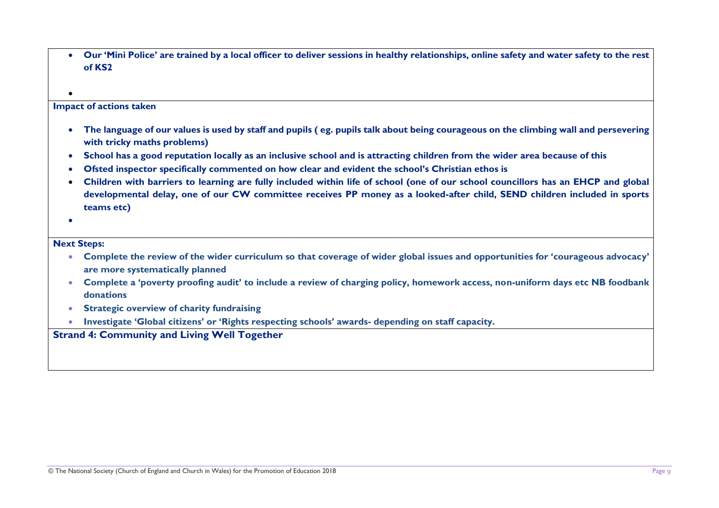• **Our 'Mini Police' are trained by a local officer to deliver sessions in healthy relationships, online safety and water safety to the rest of KS2**

#### **Impact of actions taken**

- **The language of our values is used by staff and pupils ( eg. pupils talk about being courageous on the climbing wall and persevering with tricky maths problems)**
- **School has a good reputation locally as an inclusive school and is attracting children from the wider area because of this**
- **Ofsted inspector specifically commented on how clear and evident the school's Christian ethos is**
- **Children with barriers to learning are fully included within life of school (one of our school councillors has an EHCP and global developmental delay, one of our CW committee receives PP money as a looked-after child, SEND children included in sports teams etc)**
- •

•

#### **Next Steps:**

- **Complete the review of the wider curriculum so that coverage of wider global issues and opportunities for 'courageous advocacy' are more systematically planned**
- **Complete a 'poverty proofing audit' to include a review of charging policy, homework access, non-uniform days etc NB foodbank donations**
- **Strategic overview of charity fundraising**
- **Investigate 'Global citizens' or 'Rights respecting schools' awards- depending on staff capacity.**

#### **Strand 4: Community and Living Well Together**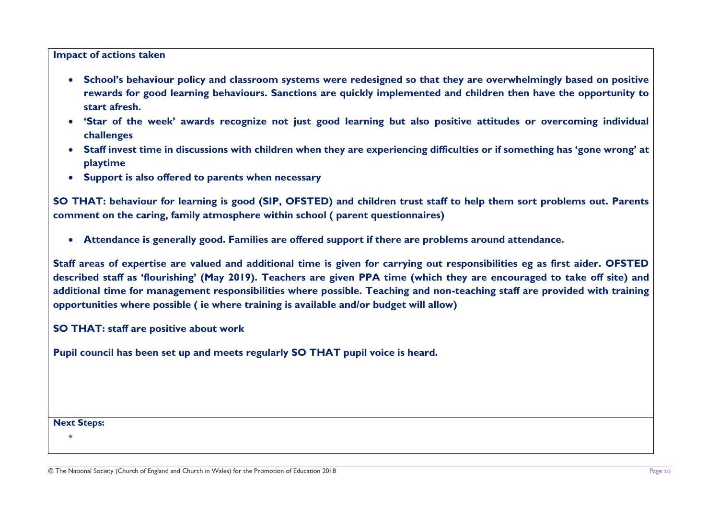## **Impact of actions taken**

- **School's behaviour policy and classroom systems were redesigned so that they are overwhelmingly based on positive rewards for good learning behaviours. Sanctions are quickly implemented and children then have the opportunity to start afresh.**
- **'Star of the week' awards recognize not just good learning but also positive attitudes or overcoming individual challenges**
- **Staff invest time in discussions with children when they are experiencing difficulties or if something has 'gone wrong' at playtime**
- **Support is also offered to parents when necessary**

**SO THAT: behaviour for learning is good (SIP, OFSTED) and children trust staff to help them sort problems out. Parents comment on the caring, family atmosphere within school ( parent questionnaires)**

• **Attendance is generally good. Families are offered support if there are problems around attendance.** 

**Staff areas of expertise are valued and additional time is given for carrying out responsibilities eg as first aider. OFSTED described staff as 'flourishing' (May 2019). Teachers are given PPA time (which they are encouraged to take off site) and additional time for management responsibilities where possible. Teaching and non-teaching staff are provided with training opportunities where possible ( ie where training is available and/or budget will allow)**

**SO THAT: staff are positive about work**

**Pupil council has been set up and meets regularly SO THAT pupil voice is heard.**

**Next Steps:** 

•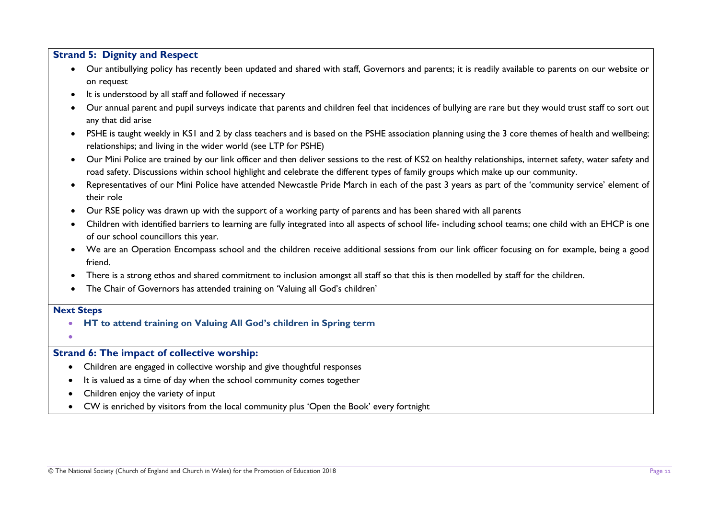## **Strand 5: Dignity and Respect**

- Our antibullying policy has recently been updated and shared with staff, Governors and parents; it is readily available to parents on our website or on request
- It is understood by all staff and followed if necessary
- Our annual parent and pupil surveys indicate that parents and children feel that incidences of bullying are rare but they would trust staff to sort out any that did arise
- PSHE is taught weekly in KS1 and 2 by class teachers and is based on the PSHE association planning using the 3 core themes of health and wellbeing; relationships; and living in the wider world (see LTP for PSHE)
- Our Mini Police are trained by our link officer and then deliver sessions to the rest of KS2 on healthy relationships, internet safety, water safety and road safety. Discussions within school highlight and celebrate the different types of family groups which make up our community.
- Representatives of our Mini Police have attended Newcastle Pride March in each of the past 3 years as part of the 'community service' element of their role
- Our RSE policy was drawn up with the support of a working party of parents and has been shared with all parents
- Children with identified barriers to learning are fully integrated into all aspects of school life- including school teams; one child with an EHCP is one of our school councillors this year.
- We are an Operation Encompass school and the children receive additional sessions from our link officer focusing on for example, being a good friend.
- There is a strong ethos and shared commitment to inclusion amongst all staff so that this is then modelled by staff for the children.
- The Chair of Governors has attended training on 'Valuing all God's children'

#### **Next Steps**

- **HT to attend training on Valuing All God's children in Spring term**
- •

## **Strand 6: The impact of collective worship:**

- Children are engaged in collective worship and give thoughtful responses
- It is valued as a time of day when the school community comes together
- Children enjoy the variety of input
- CW is enriched by visitors from the local community plus 'Open the Book' every fortnight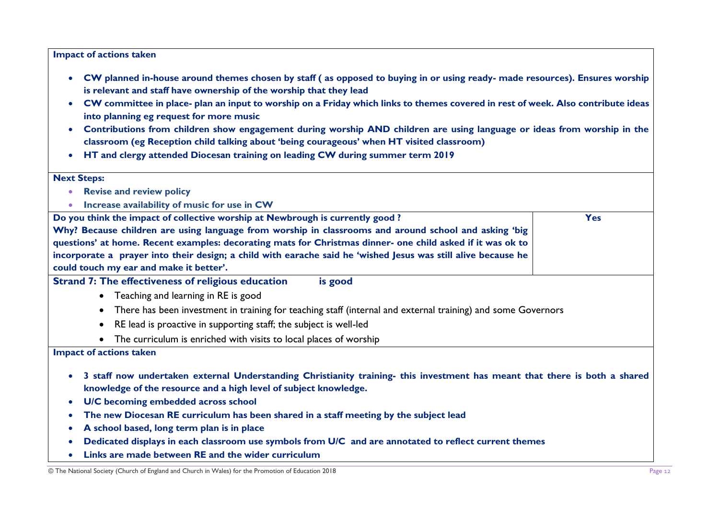#### **Impact of actions taken**

- **CW planned in-house around themes chosen by staff ( as opposed to buying in or using ready- made resources). Ensures worship is relevant and staff have ownership of the worship that they lead**
- **CW committee in place- plan an input to worship on a Friday which links to themes covered in rest of week. Also contribute ideas into planning eg request for more music**
- **Contributions from children show engagement during worship AND children are using language or ideas from worship in the classroom (eg Reception child talking about 'being courageous' when HT visited classroom)**
- **HT and clergy attended Diocesan training on leading CW during summer term 2019**

| <b>Next Steps:</b>                                                                                                                                                                                          |            |
|-------------------------------------------------------------------------------------------------------------------------------------------------------------------------------------------------------------|------------|
| <b>Revise and review policy</b><br>$\bullet$                                                                                                                                                                |            |
| Increase availability of music for use in CW<br>$\bullet$                                                                                                                                                   |            |
| Do you think the impact of collective worship at Newbrough is currently good?                                                                                                                               | <b>Yes</b> |
| Why? Because children are using language from worship in classrooms and around school and asking 'big                                                                                                       |            |
| questions' at home. Recent examples: decorating mats for Christmas dinner- one child asked if it was ok to                                                                                                  |            |
| incorporate a prayer into their design; a child with earache said he 'wished Jesus was still alive because he                                                                                               |            |
| could touch my ear and make it better'.                                                                                                                                                                     |            |
| <b>Strand 7: The effectiveness of religious education</b><br>is good                                                                                                                                        |            |
| • Teaching and learning in RE is good                                                                                                                                                                       |            |
| There has been investment in training for teaching staff (internal and external training) and some Governors<br>$\bullet$                                                                                   |            |
| RE lead is proactive in supporting staff; the subject is well-led<br>$\bullet$                                                                                                                              |            |
| The curriculum is enriched with visits to local places of worship                                                                                                                                           |            |
| <b>Impact of actions taken</b>                                                                                                                                                                              |            |
| 3 staff now undertaken external Understanding Christianity training- this investment has meant that there is both a shared<br>$\bullet$<br>knowledge of the resource and a high level of subject knowledge. |            |
| U/C becoming embedded across school<br>$\bullet$                                                                                                                                                            |            |
| The new Diocesan RE curriculum has been shared in a staff meeting by the subject lead<br>$\bullet$                                                                                                          |            |
| A school based, long term plan is in place<br>$\bullet$                                                                                                                                                     |            |
| Dedicated displays in each classroom use symbols from U/C and are annotated to reflect current themes<br>$\bullet$                                                                                          |            |
| Links are made between RE and the wider curriculum<br>$\bullet$                                                                                                                                             |            |